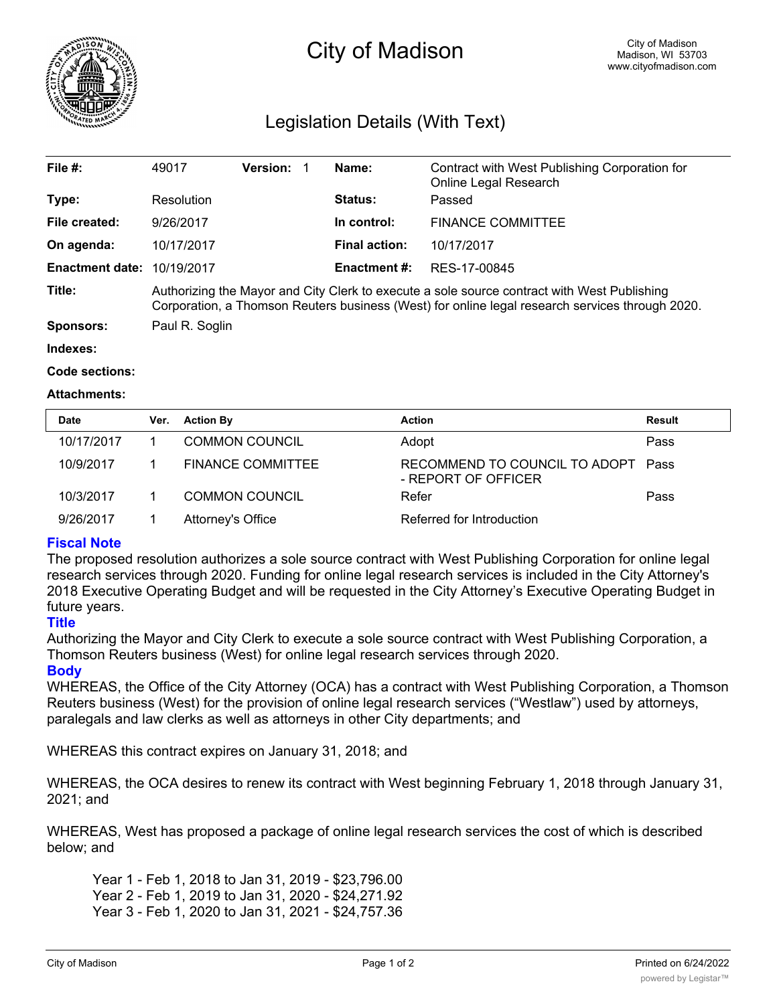

# City of Madison

## Legislation Details (With Text)

| File $#$ :             | 49017                                                                                                                                                                                          | <b>Version:</b> | Name:               | Contract with West Publishing Corporation for<br>Online Legal Research |  |  |
|------------------------|------------------------------------------------------------------------------------------------------------------------------------------------------------------------------------------------|-----------------|---------------------|------------------------------------------------------------------------|--|--|
| Type:                  | Resolution                                                                                                                                                                                     |                 | Status:             | Passed                                                                 |  |  |
| File created:          | 9/26/2017                                                                                                                                                                                      |                 | In control:         | <b>FINANCE COMMITTEE</b>                                               |  |  |
| On agenda:             | 10/17/2017                                                                                                                                                                                     |                 | Final action:       | 10/17/2017                                                             |  |  |
| <b>Enactment date:</b> | 10/19/2017                                                                                                                                                                                     |                 | <b>Enactment #:</b> | RES-17-00845                                                           |  |  |
| Title:                 | Authorizing the Mayor and City Clerk to execute a sole source contract with West Publishing<br>Corporation, a Thomson Reuters business (West) for online legal research services through 2020. |                 |                     |                                                                        |  |  |
| Sponsors:              | Paul R. Soglin                                                                                                                                                                                 |                 |                     |                                                                        |  |  |

#### **Indexes:**

#### **Code sections:**

#### **Attachments:**

| <b>Date</b> | Ver. | <b>Action By</b>         | <b>Action</b>                                             | Result |
|-------------|------|--------------------------|-----------------------------------------------------------|--------|
| 10/17/2017  |      | <b>COMMON COUNCIL</b>    | Adopt                                                     | Pass   |
| 10/9/2017   |      | <b>FINANCE COMMITTEE</b> | RECOMMEND TO COUNCIL TO ADOPT Pass<br>- REPORT OF OFFICER |        |
| 10/3/2017   |      | <b>COMMON COUNCIL</b>    | Refer                                                     | Pass   |
| 9/26/2017   |      | Attorney's Office        | Referred for Introduction                                 |        |

### **Fiscal Note**

The proposed resolution authorizes a sole source contract with West Publishing Corporation for online legal research services through 2020. Funding for online legal research services is included in the City Attorney's 2018 Executive Operating Budget and will be requested in the City Attorney's Executive Operating Budget in future years.

#### **Title**

Authorizing the Mayor and City Clerk to execute a sole source contract with West Publishing Corporation, a Thomson Reuters business (West) for online legal research services through 2020.

#### **Body**

WHEREAS, the Office of the City Attorney (OCA) has a contract with West Publishing Corporation, a Thomson Reuters business (West) for the provision of online legal research services ("Westlaw") used by attorneys, paralegals and law clerks as well as attorneys in other City departments; and

WHEREAS this contract expires on January 31, 2018; and

WHEREAS, the OCA desires to renew its contract with West beginning February 1, 2018 through January 31, 2021; and

WHEREAS, West has proposed a package of online legal research services the cost of which is described below; and

Year 1 - Feb 1, 2018 to Jan 31, 2019 - \$23,796.00 Year 2 - Feb 1, 2019 to Jan 31, 2020 - \$24,271.92 Year 3 - Feb 1, 2020 to Jan 31, 2021 - \$24,757.36